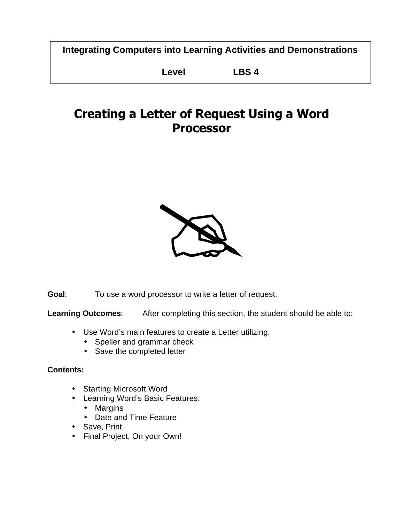**Integrating Computers into Learning Activities and Demonstrations**

**Level LBS 4**

# **Creating a Letter of Request Using a Word Processor**



**Goal**: To use a word processor to write a letter of request.

**Learning Outcomes**: After completing this section, the student should be able to:

- Use Word's main features to create a Letter utilizing:
	- Speller and grammar check
	- Save the completed letter

## **Contents:**

- Starting Microsoft Word
- Learning Word's Basic Features:
	- Margins
	- Date and Time Feature
- Save, Print
- Final Project, On your Own!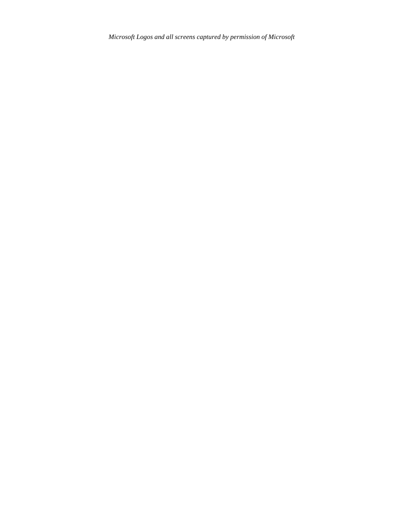*Microsoft Logos and all screens captured by permission of Microsoft*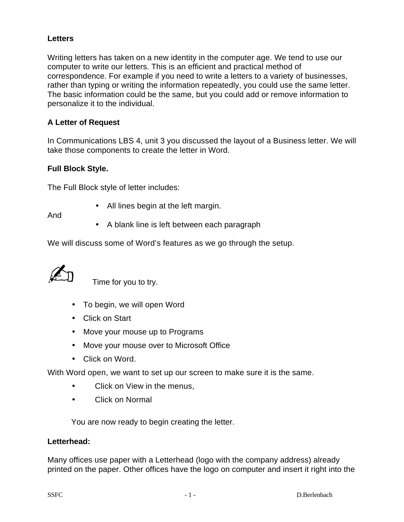### **Letters**

Writing letters has taken on a new identity in the computer age. We tend to use our computer to write our letters. This is an efficient and practical method of correspondence. For example if you need to write a letters to a variety of businesses, rather than typing or writing the information repeatedly, you could use the same letter. The basic information could be the same, but you could add or remove information to personalize it to the individual.

#### **A Letter of Request**

In Communications LBS 4, unit 3 you discussed the layout of a Business letter. We will take those components to create the letter in Word.

#### **Full Block Style.**

The Full Block style of letter includes:

• All lines begin at the left margin.

And

• A blank line is left between each paragraph

We will discuss some of Word's features as we go through the setup.

Time for you to try.

- To begin, we will open Word
- Click on Start
- Move your mouse up to Programs
- Move your mouse over to Microsoft Office
- Click on Word.

With Word open, we want to set up our screen to make sure it is the same.

- Click on View in the menus,
- Click on Normal

You are now ready to begin creating the letter.

#### **Letterhead:**

Many offices use paper with a Letterhead (logo with the company address) already printed on the paper. Other offices have the logo on computer and insert it right into the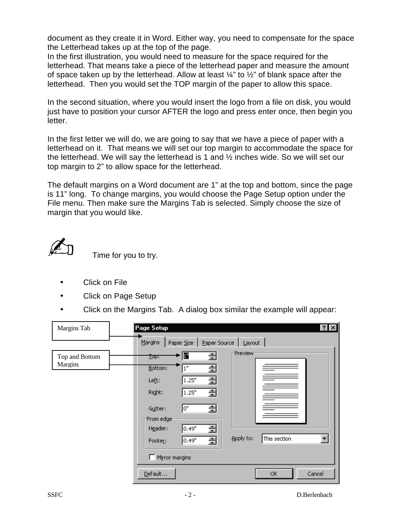document as they create it in Word. Either way, you need to compensate for the space the Letterhead takes up at the top of the page.

In the first illustration, you would need to measure for the space required for the letterhead. That means take a piece of the letterhead paper and measure the amount of space taken up by the letterhead. Allow at least  $\frac{1}{4}$ " to  $\frac{1}{2}$ " of blank space after the letterhead. Then you would set the TOP margin of the paper to allow this space.

In the second situation, where you would insert the logo from a file on disk, you would just have to position your cursor AFTER the logo and press enter once, then begin you letter.

In the first letter we will do, we are going to say that we have a piece of paper with a letterhead on it. That means we will set our top margin to accommodate the space for the letterhead. We will say the letterhead is 1 and  $\frac{1}{2}$  inches wide. So we will set our top margin to 2" to allow space for the letterhead.

The default margins on a Word document are 1" at the top and bottom, since the page is 11" long. To change margins, you would choose the Page Setup option under the File menu. Then make sure the Margins Tab is selected. Simply choose the size of margin that you would like.



Time for you to try.

- Click on File
- Click on Page Setup
- Click on the Margins Tab. A dialog box similar the example will appear:

| Margins Tab    | $ ?  \times$<br>Page Setup                                                     |
|----------------|--------------------------------------------------------------------------------|
|                | Paper Source<br>$M$ argins<br>Layout<br>Paper Size                             |
| Top and Bottom | Preview<br>>  ™<br>÷<br><u>Top:</u>                                            |
| <b>Margins</b> | 슬<br>Bottom:<br>1"                                                             |
|                | 슬<br>1.25"<br>Left:                                                            |
|                | 슬<br>Right:<br>1.25"                                                           |
|                | ÷<br>lo"<br>Gutter:                                                            |
|                | From edge <sup>®</sup>                                                         |
|                | 슬<br>0.49"<br>Header:                                                          |
|                | $\overline{\phantom{a}}$<br>Apply to:<br>This section<br>슬<br>0.49"<br>Footer: |
|                | Mirror margins                                                                 |
|                | Default<br>OK<br>Cancel                                                        |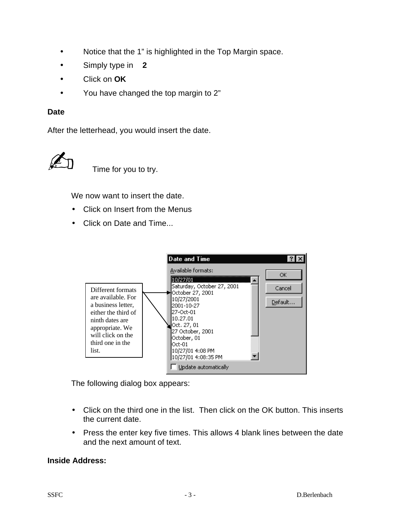- Notice that the 1" is highlighted in the Top Margin space.
- Simply type in **2**
- Click on **OK**
- You have changed the top margin to 2"

#### **Date**

After the letterhead, you would insert the date.



Time for you to try.

We now want to insert the date.

- Click on Insert from the Menus
- Click on Date and Time...



The following dialog box appears:

- Click on the third one in the list. Then click on the OK button. This inserts the current date.
- Press the enter key five times. This allows 4 blank lines between the date and the next amount of text.

#### **Inside Address:**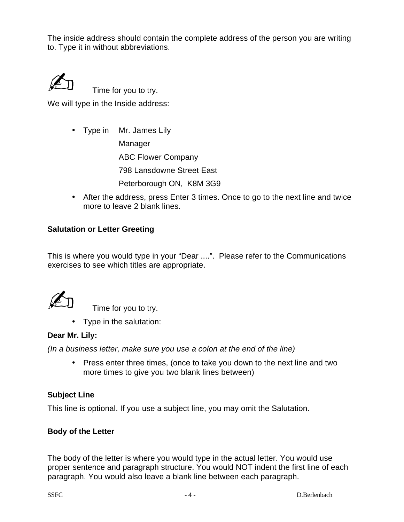The inside address should contain the complete address of the person you are writing to. Type it in without abbreviations.



Time for you to try.

We will type in the Inside address:

• Type in Mr. James Lily

Manager ABC Flower Company 798 Lansdowne Street East

Peterborough ON, K8M 3G9

• After the address, press Enter 3 times. Once to go to the next line and twice more to leave 2 blank lines.

## **Salutation or Letter Greeting**

This is where you would type in your "Dear ....". Please refer to the Communications exercises to see which titles are appropriate.

Time for you to try.

• Type in the salutation:

#### **Dear Mr. Lily:**

*(In a business letter, make sure you use a colon at the end of the line)*

• Press enter three times, (once to take you down to the next line and two more times to give you two blank lines between)

## **Subject Line**

This line is optional. If you use a subject line, you may omit the Salutation.

## **Body of the Letter**

The body of the letter is where you would type in the actual letter. You would use proper sentence and paragraph structure. You would NOT indent the first line of each paragraph. You would also leave a blank line between each paragraph.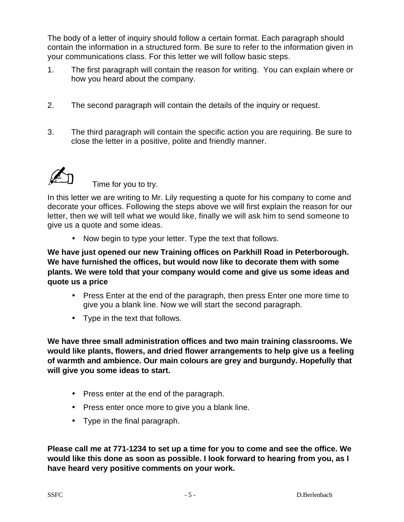The body of a letter of inquiry should follow a certain format. Each paragraph should contain the information in a structured form. Be sure to refer to the information given in your communications class. For this letter we will follow basic steps.

- 1. The first paragraph will contain the reason for writing. You can explain where or how you heard about the company.
- 2. The second paragraph will contain the details of the inquiry or request.
- 3. The third paragraph will contain the specific action you are requiring. Be sure to close the letter in a positive, polite and friendly manner.



Time for you to try.

In this letter we are writing to Mr. Lily requesting a quote for his company to come and decorate your offices. Following the steps above we will first explain the reason for our letter, then we will tell what we would like, finally we will ask him to send someone to give us a quote and some ideas.

• Now begin to type your letter. Type the text that follows.

**We have just opened our new Training offices on Parkhill Road in Peterborough. We have furnished the offices, but would now like to decorate them with some plants. We were told that your company would come and give us some ideas and quote us a price**

- Press Enter at the end of the paragraph, then press Enter one more time to give you a blank line. Now we will start the second paragraph.
- Type in the text that follows.

**We have three small administration offices and two main training classrooms. We would like plants, flowers, and dried flower arrangements to help give us a feeling of warmth and ambience. Our main colours are grey and burgundy. Hopefully that will give you some ideas to start.**

- Press enter at the end of the paragraph.
- Press enter once more to give you a blank line.
- Type in the final paragraph.

**Please call me at 771-1234 to set up a time for you to come and see the office. We would like this done as soon as possible. I look forward to hearing from you, as I have heard very positive comments on your work.**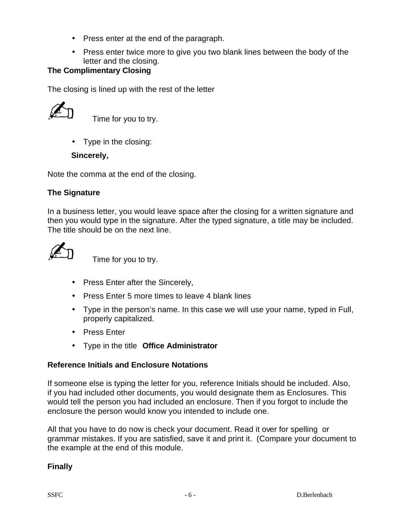- Press enter at the end of the paragraph.
- Press enter twice more to give you two blank lines between the body of the letter and the closing.

## **The Complimentary Closing**

The closing is lined up with the rest of the letter



Time for you to try.

• Type in the closing:

#### **Sincerely,**

Note the comma at the end of the closing.

## **The Signature**

In a business letter, you would leave space after the closing for a written signature and then you would type in the signature. After the typed signature, a title may be included. The title should be on the next line.

Time for you to try.

- Press Enter after the Sincerely,
- Press Enter 5 more times to leave 4 blank lines
- Type in the person's name. In this case we will use your name, typed in Full, properly capitalized.
- Press Enter
- Type in the title **Office Administrator**

#### **Reference Initials and Enclosure Notations**

If someone else is typing the letter for you, reference Initials should be included. Also, if you had included other documents, you would designate them as Enclosures. This would tell the person you had included an enclosure. Then if you forgot to include the enclosure the person would know you intended to include one.

All that you have to do now is check your document. Read it over for spelling or grammar mistakes. If you are satisfied, save it and print it. (Compare your document to the example at the end of this module.

**Finally**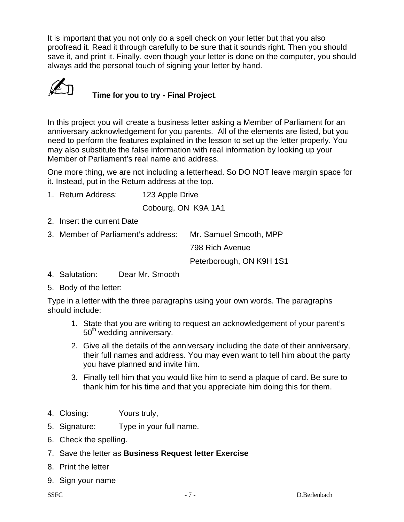It is important that you not only do a spell check on your letter but that you also proofread it. Read it through carefully to be sure that it sounds right. Then you should save it, and print it. Finally, even though your letter is done on the computer, you should always add the personal touch of signing your letter by hand.



# **Time for you to try - Final Project.**

In this project you will create a business letter asking a Member of Parliament for an anniversary acknowledgement for you parents. All of the elements are listed, but you need to perform the features explained in the lesson to set up the letter properly. You may also substitute the false information with real information by looking up your Member of Parliament's real name and address.

One more thing, we are not including a letterhead. So DO NOT leave margin space for it. Instead, put in the Return address at the top.

1. Return Address: 123 Apple Drive

Cobourg, ON K9A 1A1

- 2. Insert the current Date
- 3. Member of Parliament's address: Mr. Samuel Smooth, MPP 798 Rich Avenue

Peterborough, ON K9H 1S1

- 4. Salutation: Dear Mr. Smooth
- 5. Body of the letter:

Type in a letter with the three paragraphs using your own words. The paragraphs should include:

- 1. State that you are writing to request an acknowledgement of your parent's  $50<sup>th</sup>$  wedding anniversary.
- 2. Give all the details of the anniversary including the date of their anniversary, their full names and address. You may even want to tell him about the party you have planned and invite him.
- 3. Finally tell him that you would like him to send a plaque of card. Be sure to thank him for his time and that you appreciate him doing this for them.
- 4. Closing: Yours truly,
- 5. Signature: Type in your full name.
- 6. Check the spelling.
- 7. Save the letter as **Business Request letter Exercise**
- 8. Print the letter
- 9. Sign your name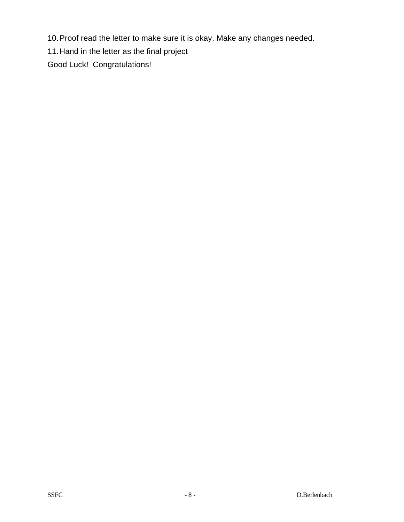10.Proof read the letter to make sure it is okay. Make any changes needed.

11.Hand in the letter as the final project

Good Luck! Congratulations!